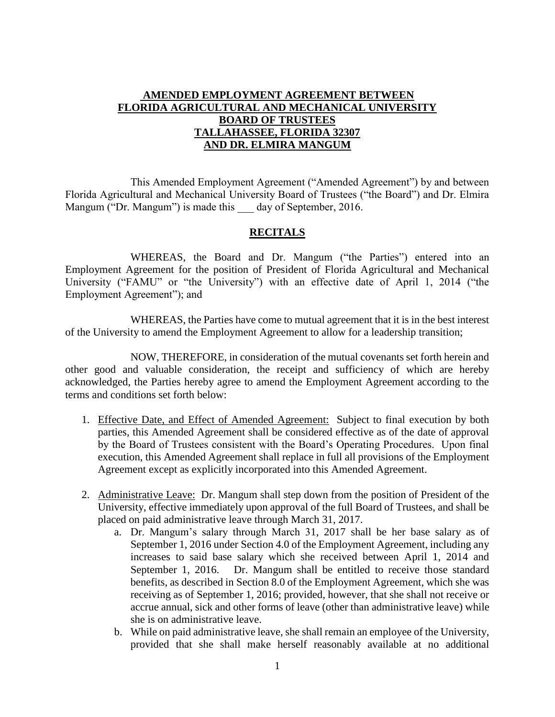## **AMENDED EMPLOYMENT AGREEMENT BETWEEN FLORIDA AGRICULTURAL AND MECHANICAL UNIVERSITY BOARD OF TRUSTEES TALLAHASSEE, FLORIDA 32307 AND DR. ELMIRA MANGUM**

This Amended Employment Agreement ("Amended Agreement") by and between Florida Agricultural and Mechanical University Board of Trustees ("the Board") and Dr. Elmira Mangum ("Dr. Mangum") is made this day of September, 2016.

## **RECITALS**

WHEREAS, the Board and Dr. Mangum ("the Parties") entered into an Employment Agreement for the position of President of Florida Agricultural and Mechanical University ("FAMU" or "the University") with an effective date of April 1, 2014 ("the Employment Agreement"); and

WHEREAS, the Parties have come to mutual agreement that it is in the best interest of the University to amend the Employment Agreement to allow for a leadership transition;

NOW, THEREFORE, in consideration of the mutual covenants set forth herein and other good and valuable consideration, the receipt and sufficiency of which are hereby acknowledged, the Parties hereby agree to amend the Employment Agreement according to the terms and conditions set forth below:

- 1. Effective Date, and Effect of Amended Agreement: Subject to final execution by both parties, this Amended Agreement shall be considered effective as of the date of approval by the Board of Trustees consistent with the Board's Operating Procedures. Upon final execution, this Amended Agreement shall replace in full all provisions of the Employment Agreement except as explicitly incorporated into this Amended Agreement.
- 2. Administrative Leave: Dr. Mangum shall step down from the position of President of the University, effective immediately upon approval of the full Board of Trustees, and shall be placed on paid administrative leave through March 31, 2017.
	- a. Dr. Mangum's salary through March 31, 2017 shall be her base salary as of September 1, 2016 under Section 4.0 of the Employment Agreement, including any increases to said base salary which she received between April 1, 2014 and September 1, 2016. Dr. Mangum shall be entitled to receive those standard benefits, as described in Section 8.0 of the Employment Agreement, which she was receiving as of September 1, 2016; provided, however, that she shall not receive or accrue annual, sick and other forms of leave (other than administrative leave) while she is on administrative leave.
	- b. While on paid administrative leave, she shall remain an employee of the University, provided that she shall make herself reasonably available at no additional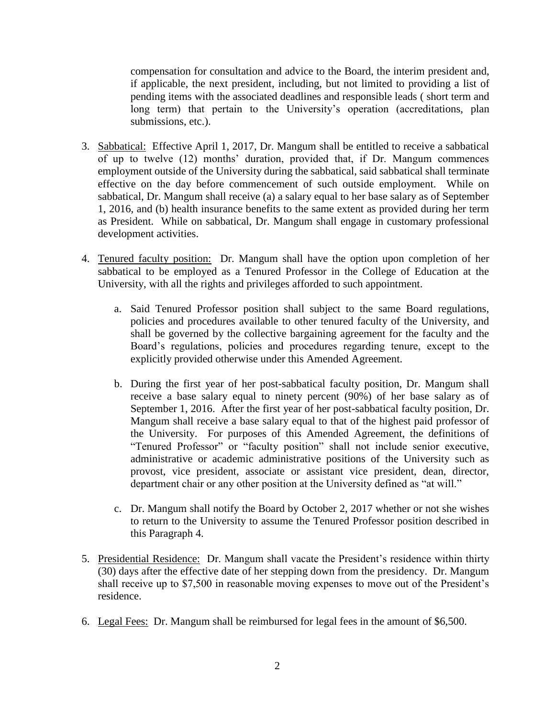compensation for consultation and advice to the Board, the interim president and, if applicable, the next president, including, but not limited to providing a list of pending items with the associated deadlines and responsible leads ( short term and long term) that pertain to the University's operation (accreditations, plan submissions, etc.).

- 3. Sabbatical: Effective April 1, 2017, Dr. Mangum shall be entitled to receive a sabbatical of up to twelve (12) months' duration, provided that, if Dr. Mangum commences employment outside of the University during the sabbatical, said sabbatical shall terminate effective on the day before commencement of such outside employment. While on sabbatical, Dr. Mangum shall receive (a) a salary equal to her base salary as of September 1, 2016, and (b) health insurance benefits to the same extent as provided during her term as President. While on sabbatical, Dr. Mangum shall engage in customary professional development activities.
- 4. Tenured faculty position: Dr. Mangum shall have the option upon completion of her sabbatical to be employed as a Tenured Professor in the College of Education at the University, with all the rights and privileges afforded to such appointment.
	- a. Said Tenured Professor position shall subject to the same Board regulations, policies and procedures available to other tenured faculty of the University, and shall be governed by the collective bargaining agreement for the faculty and the Board's regulations, policies and procedures regarding tenure, except to the explicitly provided otherwise under this Amended Agreement.
	- b. During the first year of her post-sabbatical faculty position, Dr. Mangum shall receive a base salary equal to ninety percent (90%) of her base salary as of September 1, 2016. After the first year of her post-sabbatical faculty position, Dr. Mangum shall receive a base salary equal to that of the highest paid professor of the University. For purposes of this Amended Agreement, the definitions of "Tenured Professor" or "faculty position" shall not include senior executive, administrative or academic administrative positions of the University such as provost, vice president, associate or assistant vice president, dean, director, department chair or any other position at the University defined as "at will."
	- c. Dr. Mangum shall notify the Board by October 2, 2017 whether or not she wishes to return to the University to assume the Tenured Professor position described in this Paragraph 4.
- 5. Presidential Residence: Dr. Mangum shall vacate the President's residence within thirty (30) days after the effective date of her stepping down from the presidency. Dr. Mangum shall receive up to \$7,500 in reasonable moving expenses to move out of the President's residence.
- 6. Legal Fees: Dr. Mangum shall be reimbursed for legal fees in the amount of \$6,500.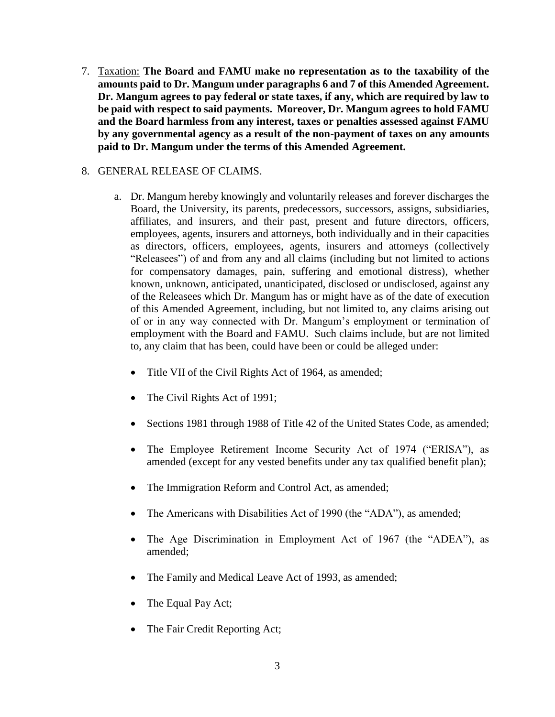7. Taxation: **The Board and FAMU make no representation as to the taxability of the amounts paid to Dr. Mangum under paragraphs 6 and 7 of this Amended Agreement. Dr. Mangum agrees to pay federal or state taxes, if any, which are required by law to be paid with respect to said payments. Moreover, Dr. Mangum agrees to hold FAMU and the Board harmless from any interest, taxes or penalties assessed against FAMU by any governmental agency as a result of the non-payment of taxes on any amounts paid to Dr. Mangum under the terms of this Amended Agreement.**

## 8. GENERAL RELEASE OF CLAIMS.

- a. Dr. Mangum hereby knowingly and voluntarily releases and forever discharges the Board, the University, its parents, predecessors, successors, assigns, subsidiaries, affiliates, and insurers, and their past, present and future directors, officers, employees, agents, insurers and attorneys, both individually and in their capacities as directors, officers, employees, agents, insurers and attorneys (collectively "Releasees") of and from any and all claims (including but not limited to actions for compensatory damages, pain, suffering and emotional distress), whether known, unknown, anticipated, unanticipated, disclosed or undisclosed, against any of the Releasees which Dr. Mangum has or might have as of the date of execution of this Amended Agreement, including, but not limited to, any claims arising out of or in any way connected with Dr. Mangum's employment or termination of employment with the Board and FAMU. Such claims include, but are not limited to, any claim that has been, could have been or could be alleged under:
	- Title VII of the Civil Rights Act of 1964, as amended;
	- The Civil Rights Act of 1991;
	- Sections 1981 through 1988 of Title 42 of the United States Code, as amended;
	- The Employee Retirement Income Security Act of 1974 ("ERISA"), as amended (except for any vested benefits under any tax qualified benefit plan);
	- The Immigration Reform and Control Act, as amended;
	- The Americans with Disabilities Act of 1990 (the "ADA"), as amended;
	- The Age Discrimination in Employment Act of 1967 (the "ADEA"), as amended;
	- The Family and Medical Leave Act of 1993, as amended;
	- The Equal Pay Act;
	- The Fair Credit Reporting Act;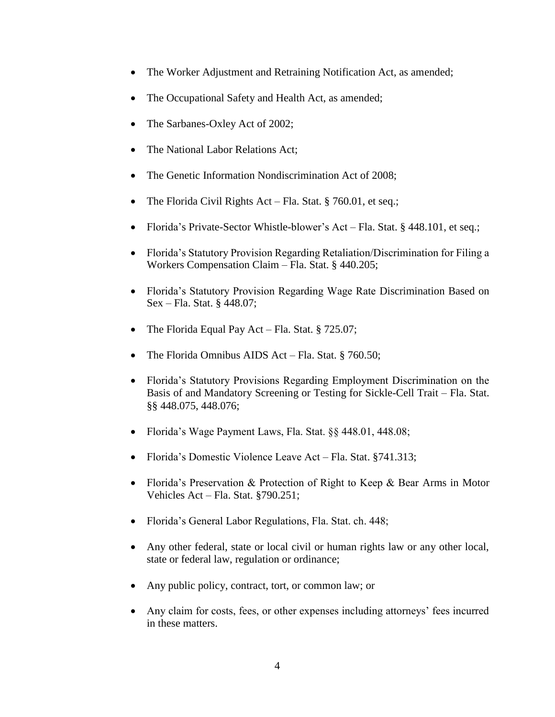- The Worker Adjustment and Retraining Notification Act, as amended;
- The Occupational Safety and Health Act, as amended;
- The Sarbanes-Oxley Act of 2002;
- The National Labor Relations Act;
- The Genetic Information Nondiscrimination Act of 2008;
- The Florida Civil Rights Act Fla. Stat.  $\S$  760.01, et seq.;
- Florida's Private-Sector Whistle-blower's Act Fla. Stat. § 448.101, et seq.;
- Florida's Statutory Provision Regarding Retaliation/Discrimination for Filing a Workers Compensation Claim – Fla. Stat. § 440.205;
- Florida's Statutory Provision Regarding Wage Rate Discrimination Based on Sex – Fla. Stat. § 448.07;
- The Florida Equal Pay Act Fla. Stat. § 725.07;
- The Florida Omnibus AIDS Act Fla. Stat. § 760.50;
- Florida's Statutory Provisions Regarding Employment Discrimination on the Basis of and Mandatory Screening or Testing for Sickle-Cell Trait – Fla. Stat. §§ 448.075, 448.076;
- Florida's Wage Payment Laws, Fla. Stat. §§ 448.01, 448.08;
- Florida's Domestic Violence Leave Act Fla. Stat. §741.313;
- Florida's Preservation & Protection of Right to Keep & Bear Arms in Motor Vehicles Act – Fla. Stat. §790.251;
- Florida's General Labor Regulations, Fla. Stat. ch. 448;
- Any other federal, state or local civil or human rights law or any other local, state or federal law, regulation or ordinance;
- Any public policy, contract, tort, or common law; or
- Any claim for costs, fees, or other expenses including attorneys' fees incurred in these matters.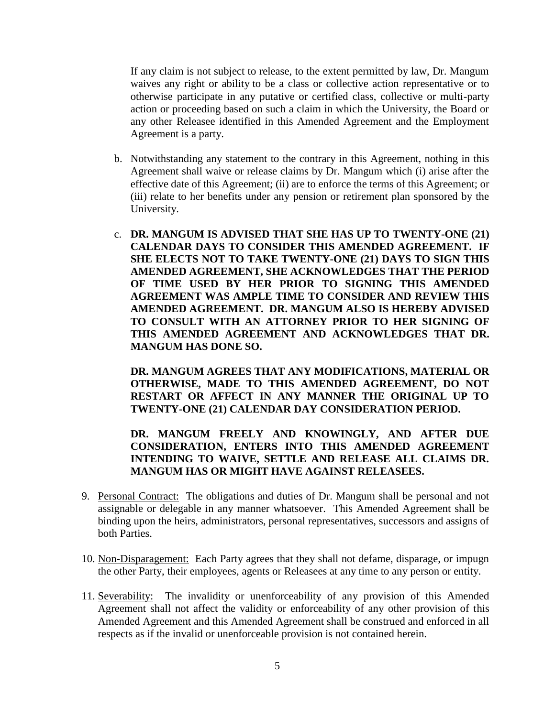If any claim is not subject to release, to the extent permitted by law, Dr. Mangum waives any right or ability to be a class or collective action representative or to otherwise participate in any putative or certified class, collective or multi-party action or proceeding based on such a claim in which the University, the Board or any other Releasee identified in this Amended Agreement and the Employment Agreement is a party.

- b. Notwithstanding any statement to the contrary in this Agreement, nothing in this Agreement shall waive or release claims by Dr. Mangum which (i) arise after the effective date of this Agreement; (ii) are to enforce the terms of this Agreement; or (iii) relate to her benefits under any pension or retirement plan sponsored by the University.
- c. **DR. MANGUM IS ADVISED THAT SHE HAS UP TO TWENTY-ONE (21) CALENDAR DAYS TO CONSIDER THIS AMENDED AGREEMENT. IF SHE ELECTS NOT TO TAKE TWENTY-ONE (21) DAYS TO SIGN THIS AMENDED AGREEMENT, SHE ACKNOWLEDGES THAT THE PERIOD OF TIME USED BY HER PRIOR TO SIGNING THIS AMENDED AGREEMENT WAS AMPLE TIME TO CONSIDER AND REVIEW THIS AMENDED AGREEMENT. DR. MANGUM ALSO IS HEREBY ADVISED TO CONSULT WITH AN ATTORNEY PRIOR TO HER SIGNING OF THIS AMENDED AGREEMENT AND ACKNOWLEDGES THAT DR. MANGUM HAS DONE SO.**

**DR. MANGUM AGREES THAT ANY MODIFICATIONS, MATERIAL OR OTHERWISE, MADE TO THIS AMENDED AGREEMENT, DO NOT RESTART OR AFFECT IN ANY MANNER THE ORIGINAL UP TO TWENTY-ONE (21) CALENDAR DAY CONSIDERATION PERIOD.** 

**DR. MANGUM FREELY AND KNOWINGLY, AND AFTER DUE CONSIDERATION, ENTERS INTO THIS AMENDED AGREEMENT INTENDING TO WAIVE, SETTLE AND RELEASE ALL CLAIMS DR. MANGUM HAS OR MIGHT HAVE AGAINST RELEASEES.**

- 9. Personal Contract: The obligations and duties of Dr. Mangum shall be personal and not assignable or delegable in any manner whatsoever. This Amended Agreement shall be binding upon the heirs, administrators, personal representatives, successors and assigns of both Parties.
- 10. Non-Disparagement: Each Party agrees that they shall not defame, disparage, or impugn the other Party, their employees, agents or Releasees at any time to any person or entity.
- 11. Severability: The invalidity or unenforceability of any provision of this Amended Agreement shall not affect the validity or enforceability of any other provision of this Amended Agreement and this Amended Agreement shall be construed and enforced in all respects as if the invalid or unenforceable provision is not contained herein.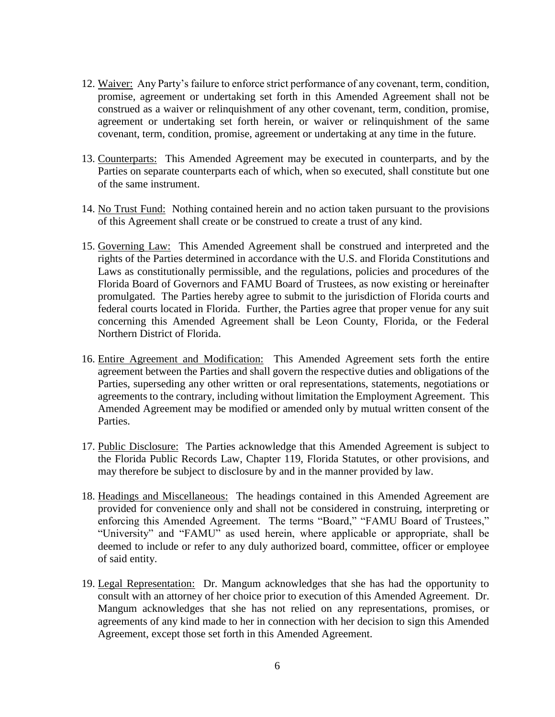- 12. Waiver: Any Party's failure to enforce strict performance of any covenant, term, condition, promise, agreement or undertaking set forth in this Amended Agreement shall not be construed as a waiver or relinquishment of any other covenant, term, condition, promise, agreement or undertaking set forth herein, or waiver or relinquishment of the same covenant, term, condition, promise, agreement or undertaking at any time in the future.
- 13. Counterparts: This Amended Agreement may be executed in counterparts, and by the Parties on separate counterparts each of which, when so executed, shall constitute but one of the same instrument.
- 14. No Trust Fund: Nothing contained herein and no action taken pursuant to the provisions of this Agreement shall create or be construed to create a trust of any kind.
- 15. Governing Law: This Amended Agreement shall be construed and interpreted and the rights of the Parties determined in accordance with the U.S. and Florida Constitutions and Laws as constitutionally permissible, and the regulations, policies and procedures of the Florida Board of Governors and FAMU Board of Trustees, as now existing or hereinafter promulgated. The Parties hereby agree to submit to the jurisdiction of Florida courts and federal courts located in Florida. Further, the Parties agree that proper venue for any suit concerning this Amended Agreement shall be Leon County, Florida, or the Federal Northern District of Florida.
- 16. Entire Agreement and Modification: This Amended Agreement sets forth the entire agreement between the Parties and shall govern the respective duties and obligations of the Parties, superseding any other written or oral representations, statements, negotiations or agreements to the contrary, including without limitation the Employment Agreement. This Amended Agreement may be modified or amended only by mutual written consent of the Parties.
- 17. Public Disclosure: The Parties acknowledge that this Amended Agreement is subject to the Florida Public Records Law, Chapter 119, Florida Statutes, or other provisions, and may therefore be subject to disclosure by and in the manner provided by law.
- 18. Headings and Miscellaneous: The headings contained in this Amended Agreement are provided for convenience only and shall not be considered in construing, interpreting or enforcing this Amended Agreement. The terms "Board," "FAMU Board of Trustees," "University" and "FAMU" as used herein, where applicable or appropriate, shall be deemed to include or refer to any duly authorized board, committee, officer or employee of said entity.
- 19. Legal Representation: Dr. Mangum acknowledges that she has had the opportunity to consult with an attorney of her choice prior to execution of this Amended Agreement. Dr. Mangum acknowledges that she has not relied on any representations, promises, or agreements of any kind made to her in connection with her decision to sign this Amended Agreement, except those set forth in this Amended Agreement.